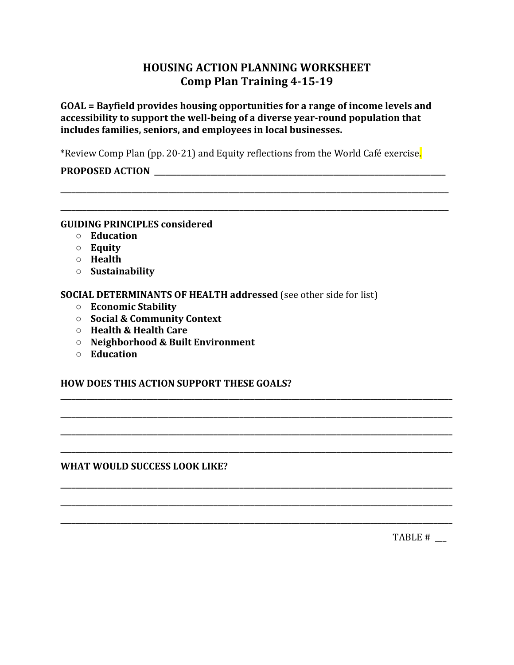# **HOUSING ACTION PLANNING WORKSHEET Comp Plan Training 4-15-19**

GOAL = Bayfield provides housing opportunities for a range of income levels and accessibility to support the well-being of a diverse year-round population that includes families, seniors, and employees in local businesses.

\*Review Comp Plan (pp. 20-21) and Equity reflections from the World Café exercise.

**\_\_\_\_\_\_\_\_\_\_\_\_\_\_\_\_\_\_\_\_\_\_\_\_\_\_\_\_\_\_\_\_\_\_\_\_\_\_\_\_\_\_\_\_\_\_\_\_\_\_\_\_\_\_\_\_\_\_\_\_\_\_\_\_\_\_\_\_\_\_\_\_\_\_\_\_\_\_\_\_\_\_\_\_\_\_\_\_\_\_\_\_\_\_\_\_\_\_\_\_\_\_\_\_**

**\_\_\_\_\_\_\_\_\_\_\_\_\_\_\_\_\_\_\_\_\_\_\_\_\_\_\_\_\_\_\_\_\_\_\_\_\_\_\_\_\_\_\_\_\_\_\_\_\_\_\_\_\_\_\_\_\_\_\_\_\_\_\_\_\_\_\_\_\_\_\_\_\_\_\_\_\_\_\_\_\_\_\_\_\_\_\_\_\_\_\_\_\_\_\_\_\_\_\_\_\_\_\_\_**

**\_\_\_\_\_\_\_\_\_\_\_\_\_\_\_\_\_\_\_\_\_\_\_\_\_\_\_\_\_\_\_\_\_\_\_\_\_\_\_\_\_\_\_\_\_\_\_\_\_\_\_\_\_\_\_\_\_\_\_\_\_\_\_\_\_\_\_\_\_\_\_\_\_\_\_\_\_\_\_\_\_\_\_\_\_\_\_\_\_\_\_\_\_\_\_\_\_\_\_\_\_\_\_\_\_**

**\_\_\_\_\_\_\_\_\_\_\_\_\_\_\_\_\_\_\_\_\_\_\_\_\_\_\_\_\_\_\_\_\_\_\_\_\_\_\_\_\_\_\_\_\_\_\_\_\_\_\_\_\_\_\_\_\_\_\_\_\_\_\_\_\_\_\_\_\_\_\_\_\_\_\_\_\_\_\_\_\_\_\_\_\_\_\_\_\_\_\_\_\_\_\_\_\_\_\_\_\_\_\_\_\_**

**\_\_\_\_\_\_\_\_\_\_\_\_\_\_\_\_\_\_\_\_\_\_\_\_\_\_\_\_\_\_\_\_\_\_\_\_\_\_\_\_\_\_\_\_\_\_\_\_\_\_\_\_\_\_\_\_\_\_\_\_\_\_\_\_\_\_\_\_\_\_\_\_\_\_\_\_\_\_\_\_\_\_\_\_\_\_\_\_\_\_\_\_\_\_\_\_\_\_\_\_\_\_\_\_\_**

**\_\_\_\_\_\_\_\_\_\_\_\_\_\_\_\_\_\_\_\_\_\_\_\_\_\_\_\_\_\_\_\_\_\_\_\_\_\_\_\_\_\_\_\_\_\_\_\_\_\_\_\_\_\_\_\_\_\_\_\_\_\_\_\_\_\_\_\_\_\_\_\_\_\_\_\_\_\_\_\_\_\_\_\_\_\_\_\_\_\_\_\_\_\_\_\_\_\_\_\_\_\_\_\_\_**

**\_\_\_\_\_\_\_\_\_\_\_\_\_\_\_\_\_\_\_\_\_\_\_\_\_\_\_\_\_\_\_\_\_\_\_\_\_\_\_\_\_\_\_\_\_\_\_\_\_\_\_\_\_\_\_\_\_\_\_\_\_\_\_\_\_\_\_\_\_\_\_\_\_\_\_\_\_\_\_\_\_\_\_\_\_\_\_\_\_\_\_\_\_\_\_\_\_\_\_\_\_\_\_\_\_**

**\_\_\_\_\_\_\_\_\_\_\_\_\_\_\_\_\_\_\_\_\_\_\_\_\_\_\_\_\_\_\_\_\_\_\_\_\_\_\_\_\_\_\_\_\_\_\_\_\_\_\_\_\_\_\_\_\_\_\_\_\_\_\_\_\_\_\_\_\_\_\_\_\_\_\_\_\_\_\_\_\_\_\_\_\_\_\_\_\_\_\_\_\_\_\_\_\_\_\_\_\_\_\_\_\_**

**\_\_\_\_\_\_\_\_\_\_\_\_\_\_\_\_\_\_\_\_\_\_\_\_\_\_\_\_\_\_\_\_\_\_\_\_\_\_\_\_\_\_\_\_\_\_\_\_\_\_\_\_\_\_\_\_\_\_\_\_\_\_\_\_\_\_\_\_\_\_\_\_\_\_\_\_\_\_\_\_\_\_\_\_\_\_\_\_\_\_\_\_\_\_\_\_\_\_\_\_\_\_\_\_\_**

### **PROPOSED ACTION \_\_\_\_\_\_\_\_\_\_\_\_\_\_\_\_\_\_\_\_\_\_\_\_\_\_\_\_\_\_\_\_\_\_\_\_\_\_\_\_\_\_\_\_\_\_\_\_\_\_\_\_\_\_\_\_\_\_\_\_\_\_\_\_\_\_\_\_\_\_\_\_\_\_\_\_\_\_**

#### **GUIDING PRINCIPLES considered**

- **Education**
- **Equity**
- **Health**
- **Sustainability**

**SOCIAL DETERMINANTS OF HEALTH addressed** (see other side for list)

- **Economic Stability**
- **Social & Community Context**
- **Health & Health Care**
- **Neighborhood & Built Environment**
- **Education**

## **HOW DOES THIS ACTION SUPPORT THESE GOALS?**

## **WHAT WOULD SUCCESS LOOK LIKE?**

TABLE #